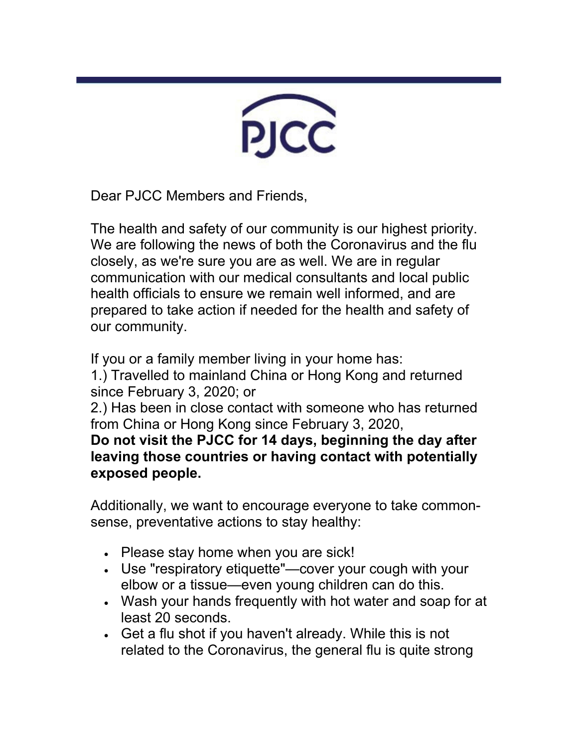

Dear PJCC Members and Friends,

The health and safety of our community is our highest priority. We are following the news of both the Coronavirus and the flu closely, as we're sure you are as well. We are in regular communication with our medical consultants and local public health officials to ensure we remain well informed, and are prepared to take action if needed for the health and safety of our community.

If you or a family member living in your home has:

1.) Travelled to mainland China or Hong Kong and returned since February 3, 2020; or

2.) Has been in close contact with someone who has returned from China or Hong Kong since February 3, 2020,

**Do not visit the PJCC for 14 days, beginning the day after leaving those countries or having contact with potentially exposed people.**

Additionally, we want to encourage everyone to take commonsense, preventative actions to stay healthy:

- Please stay home when you are sick!
- Use "respiratory etiquette"—cover your cough with your elbow or a tissue—even young children can do this.
- Wash your hands frequently with hot water and soap for at least 20 seconds.
- Get a flu shot if you haven't already. While this is not related to the Coronavirus, the general flu is quite strong